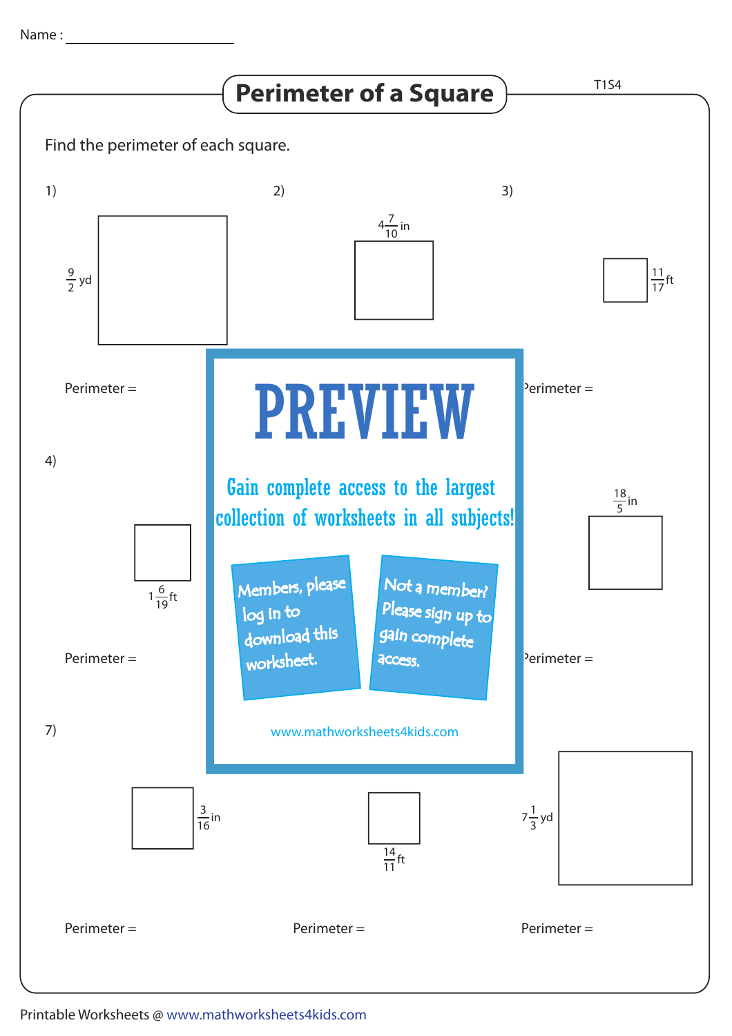